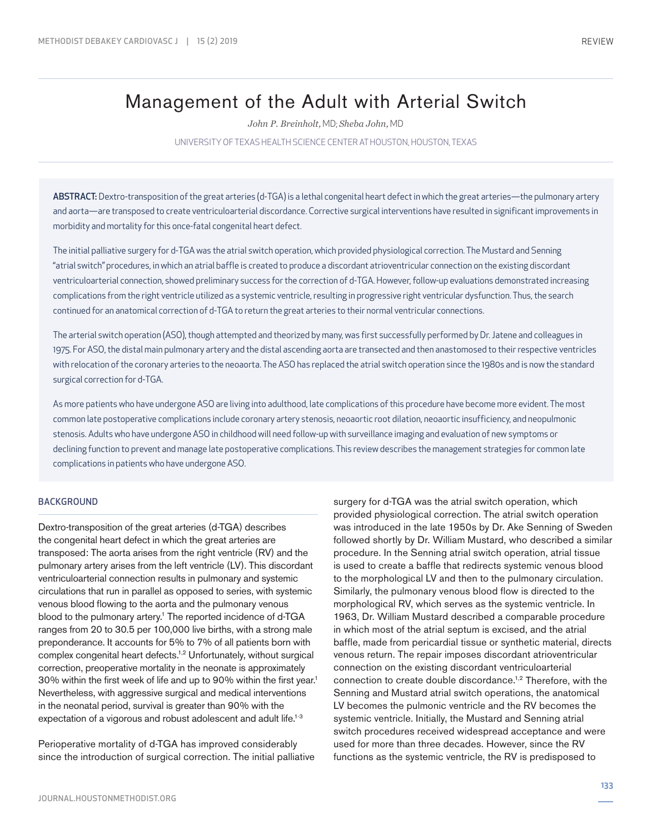# Management of the Adult with Arterial Switch

*John P. Breinholt,* MD; *Sheba John,* MD

UNIVERSITY OF TEXAS HEALTH SCIENCE CENTER AT HOUSTON, HOUSTON, TEXAS

ABSTRACT: Dextro-transposition of the great arteries (d-TGA) is a lethal congenital heart defect in which the great arteries—the pulmonary artery and aorta—are transposed to create ventriculoarterial discordance. Corrective surgical interventions have resulted in significant improvements in morbidity and mortality for this once-fatal congenital heart defect.

The initial palliative surgery for d-TGA was the atrial switch operation, which provided physiological correction. The Mustard and Senning "atrial switch" procedures, in which an atrial baffle is created to produce a discordant atrioventricular connection on the existing discordant ventriculoarterial connection, showed preliminary success for the correction of d-TGA. However, follow-up evaluations demonstrated increasing complications from the right ventricle utilized as a systemic ventricle, resulting in progressive right ventricular dysfunction. Thus, the search continued for an anatomical correction of d-TGA to return the great arteries to their normal ventricular connections.

The arterial switch operation (ASO), though attempted and theorized by many, was first successfully performed by Dr. Jatene and colleagues in 1975. For ASO, the distal main pulmonary artery and the distal ascending aorta are transected and then anastomosed to their respective ventricles with relocation of the coronary arteries to the neoaorta. The ASO has replaced the atrial switch operation since the 1980s and is now the standard surgical correction for d-TGA.

As more patients who have undergone ASO are living into adulthood, late complications of this procedure have become more evident. The most common late postoperative complications include coronary artery stenosis, neoaortic root dilation, neoaortic insufficiency, and neopulmonic stenosis. Adults who have undergone ASO in childhood will need follow-up with surveillance imaging and evaluation of new symptoms or declining function to prevent and manage late postoperative complications. This review describes the management strategies for common late complications in patients who have undergone ASO.

#### BACKGROUND

Dextro-transposition of the great arteries (d-TGA) describes the congenital heart defect in which the great arteries are transposed: The aorta arises from the right ventricle (RV) and the pulmonary artery arises from the left ventricle (LV). This discordant ventriculoarterial connection results in pulmonary and systemic circulations that run in parallel as opposed to series, with systemic venous blood flowing to the aorta and the pulmonary venous blood to the pulmonary artery.<sup>1</sup> The reported incidence of d-TGA ranges from 20 to 30.5 per 100,000 live births, with a strong male preponderance. It accounts for 5% to 7% of all patients born with complex congenital heart defects.1,2 Unfortunately, without surgical correction, preoperative mortality in the neonate is approximately 30% within the first week of life and up to 90% within the first year.1 Nevertheless, with aggressive surgical and medical interventions in the neonatal period, survival is greater than 90% with the expectation of a vigorous and robust adolescent and adult life.<sup>1-3</sup>

Perioperative mortality of d-TGA has improved considerably since the introduction of surgical correction. The initial palliative surgery for d-TGA was the atrial switch operation, which provided physiological correction. The atrial switch operation was introduced in the late 1950s by Dr. Ake Senning of Sweden followed shortly by Dr. William Mustard, who described a similar procedure. In the Senning atrial switch operation, atrial tissue is used to create a baffle that redirects systemic venous blood to the morphological LV and then to the pulmonary circulation. Similarly, the pulmonary venous blood flow is directed to the morphological RV, which serves as the systemic ventricle. In 1963, Dr. William Mustard described a comparable procedure in which most of the atrial septum is excised, and the atrial baffle, made from pericardial tissue or synthetic material, directs venous return. The repair imposes discordant atrioventricular connection on the existing discordant ventriculoarterial connection to create double discordance.1,2 Therefore, with the Senning and Mustard atrial switch operations, the anatomical LV becomes the pulmonic ventricle and the RV becomes the systemic ventricle. Initially, the Mustard and Senning atrial switch procedures received widespread acceptance and were used for more than three decades. However, since the RV functions as the systemic ventricle, the RV is predisposed to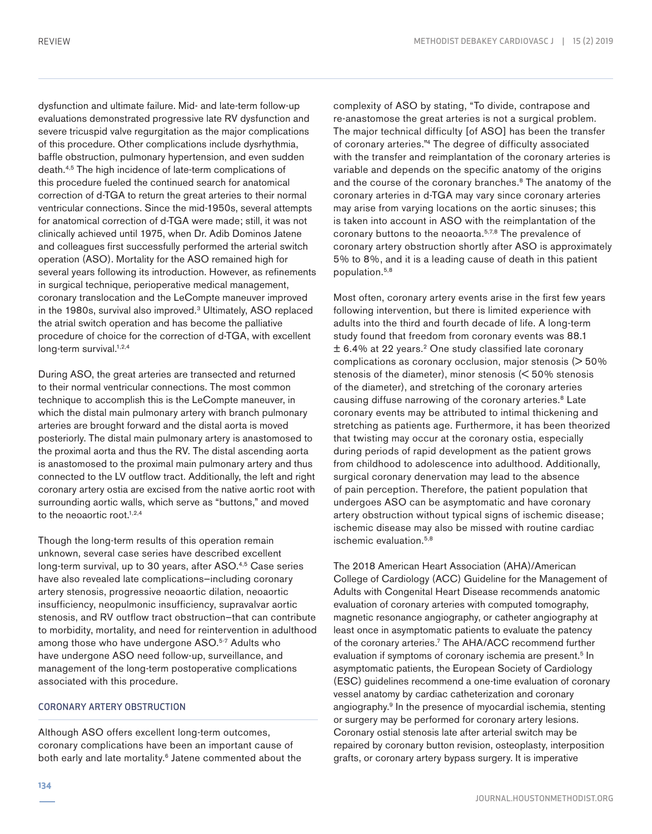dysfunction and ultimate failure. Mid- and late-term follow-up evaluations demonstrated progressive late RV dysfunction and severe tricuspid valve regurgitation as the major complications of this procedure. Other complications include dysrhythmia, baffle obstruction, pulmonary hypertension, and even sudden death.4,5 The high incidence of late-term complications of this procedure fueled the continued search for anatomical correction of d-TGA to return the great arteries to their normal ventricular connections. Since the mid-1950s, several attempts for anatomical correction of d-TGA were made; still, it was not clinically achieved until 1975, when Dr. Adib Dominos Jatene and colleagues first successfully performed the arterial switch operation (ASO). Mortality for the ASO remained high for several years following its introduction. However, as refinements in surgical technique, perioperative medical management, coronary translocation and the LeCompte maneuver improved in the 1980s, survival also improved.<sup>3</sup> Ultimately, ASO replaced the atrial switch operation and has become the palliative procedure of choice for the correction of d-TGA, with excellent long-term survival. $1,2,4$ 

During ASO, the great arteries are transected and returned to their normal ventricular connections. The most common technique to accomplish this is the LeCompte maneuver, in which the distal main pulmonary artery with branch pulmonary arteries are brought forward and the distal aorta is moved posteriorly. The distal main pulmonary artery is anastomosed to the proximal aorta and thus the RV. The distal ascending aorta is anastomosed to the proximal main pulmonary artery and thus connected to the LV outflow tract. Additionally, the left and right coronary artery ostia are excised from the native aortic root with surrounding aortic walls, which serve as "buttons," and moved to the neoaortic root. $1,2,4$ 

Though the long-term results of this operation remain unknown, several case series have described excellent long-term survival, up to 30 years, after ASO.<sup>4,5</sup> Case series have also revealed late complications—including coronary artery stenosis, progressive neoaortic dilation, neoaortic insufficiency, neopulmonic insufficiency, supravalvar aortic stenosis, and RV outflow tract obstruction—that can contribute to morbidity, mortality, and need for reintervention in adulthood among those who have undergone ASO.<sup>5-7</sup> Adults who have undergone ASO need follow-up, surveillance, and management of the long-term postoperative complications associated with this procedure.

# CORONARY ARTERY OBSTRUCTION

Although ASO offers excellent long-term outcomes, coronary complications have been an important cause of both early and late mortality.<sup>6</sup> Jatene commented about the complexity of ASO by stating, "To divide, contrapose and re-anastomose the great arteries is not a surgical problem. The major technical difficulty [of ASO] has been the transfer of coronary arteries."4 The degree of difficulty associated with the transfer and reimplantation of the coronary arteries is variable and depends on the specific anatomy of the origins and the course of the coronary branches.<sup>8</sup> The anatomy of the coronary arteries in d-TGA may vary since coronary arteries may arise from varying locations on the aortic sinuses; this is taken into account in ASO with the reimplantation of the coronary buttons to the neoaorta.<sup>5,7,8</sup> The prevalence of coronary artery obstruction shortly after ASO is approximately 5% to 8%, and it is a leading cause of death in this patient population.5,8

Most often, coronary artery events arise in the first few years following intervention, but there is limited experience with adults into the third and fourth decade of life. A long-term study found that freedom from coronary events was 88.1  $\pm$  6.4% at 22 years.<sup>2</sup> One study classified late coronary complications as coronary occlusion, major stenosis (> 50% stenosis of the diameter), minor stenosis (< 50% stenosis of the diameter), and stretching of the coronary arteries causing diffuse narrowing of the coronary arteries.<sup>8</sup> Late coronary events may be attributed to intimal thickening and stretching as patients age. Furthermore, it has been theorized that twisting may occur at the coronary ostia, especially during periods of rapid development as the patient grows from childhood to adolescence into adulthood. Additionally, surgical coronary denervation may lead to the absence of pain perception. Therefore, the patient population that undergoes ASO can be asymptomatic and have coronary artery obstruction without typical signs of ischemic disease; ischemic disease may also be missed with routine cardiac ischemic evaluation.<sup>5,8</sup>

The 2018 American Heart Association (AHA)/American College of Cardiology (ACC) Guideline for the Management of Adults with Congenital Heart Disease recommends anatomic evaluation of coronary arteries with computed tomography, magnetic resonance angiography, or catheter angiography at least once in asymptomatic patients to evaluate the patency of the coronary arteries.<sup>7</sup> The AHA/ACC recommend further evaluation if symptoms of coronary ischemia are present.<sup>5</sup> In asymptomatic patients, the European Society of Cardiology (ESC) guidelines recommend a one-time evaluation of coronary vessel anatomy by cardiac catheterization and coronary angiography.9 In the presence of myocardial ischemia, stenting or surgery may be performed for coronary artery lesions. Coronary ostial stenosis late after arterial switch may be repaired by coronary button revision, osteoplasty, interposition grafts, or coronary artery bypass surgery. It is imperative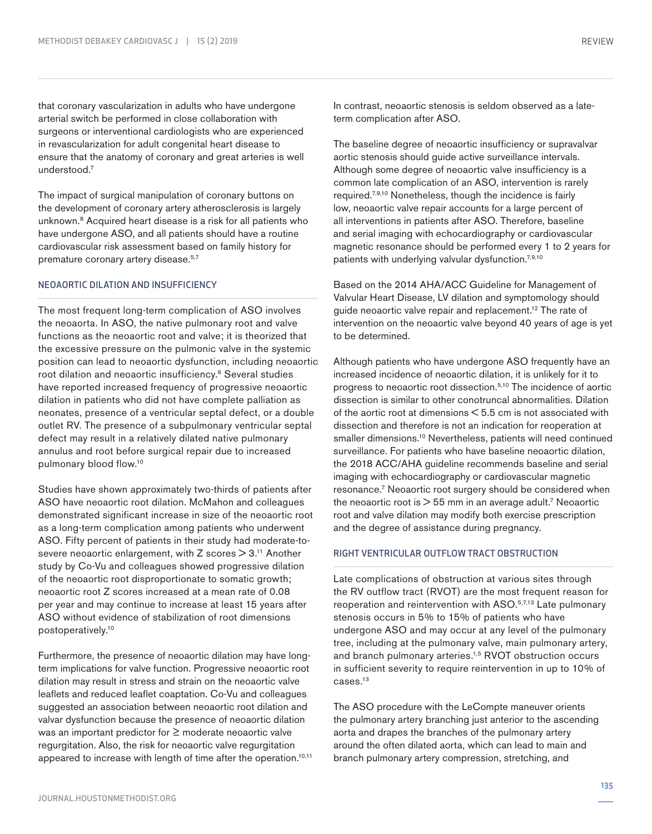that coronary vascularization in adults who have undergone arterial switch be performed in close collaboration with surgeons or interventional cardiologists who are experienced in revascularization for adult congenital heart disease to ensure that the anatomy of coronary and great arteries is well understood.7

The impact of surgical manipulation of coronary buttons on the development of coronary artery atherosclerosis is largely unknown.8 Acquired heart disease is a risk for all patients who have undergone ASO, and all patients should have a routine cardiovascular risk assessment based on family history for premature coronary artery disease.<sup>5,7</sup>

## NEOAORTIC DILATION AND INSUFFICIENCY

The most frequent long-term complication of ASO involves the neoaorta. In ASO, the native pulmonary root and valve functions as the neoaortic root and valve; it is theorized that the excessive pressure on the pulmonic valve in the systemic position can lead to neoaortic dysfunction, including neoaortic root dilation and neoaortic insufficiency.<sup>6</sup> Several studies have reported increased frequency of progressive neoaortic dilation in patients who did not have complete palliation as neonates, presence of a ventricular septal defect, or a double outlet RV. The presence of a subpulmonary ventricular septal defect may result in a relatively dilated native pulmonary annulus and root before surgical repair due to increased pulmonary blood flow.10

Studies have shown approximately two-thirds of patients after ASO have neoaortic root dilation. McMahon and colleagues demonstrated significant increase in size of the neoaortic root as a long-term complication among patients who underwent ASO. Fifty percent of patients in their study had moderate-tosevere neoaortic enlargement, with  $Z$  scores  $> 3<sup>11</sup>$  Another study by Co-Vu and colleagues showed progressive dilation of the neoaortic root disproportionate to somatic growth; neoaortic root Z scores increased at a mean rate of 0.08 per year and may continue to increase at least 15 years after ASO without evidence of stabilization of root dimensions postoperatively.10

Furthermore, the presence of neoaortic dilation may have longterm implications for valve function. Progressive neoaortic root dilation may result in stress and strain on the neoaortic valve leaflets and reduced leaflet coaptation. Co-Vu and colleagues suggested an association between neoaortic root dilation and valvar dysfunction because the presence of neoaortic dilation was an important predictor for ≥ moderate neoaortic valve regurgitation. Also, the risk for neoaortic valve regurgitation appeared to increase with length of time after the operation.<sup>10,11</sup> The baseline degree of neoaortic insufficiency or supravalvar aortic stenosis should guide active surveillance intervals. Although some degree of neoaortic valve insufficiency is a common late complication of an ASO, intervention is rarely required.7,9,10 Nonetheless, though the incidence is fairly low, neoaortic valve repair accounts for a large percent of all interventions in patients after ASO. Therefore, baseline and serial imaging with echocardiography or cardiovascular magnetic resonance should be performed every 1 to 2 years for patients with underlying valvular dysfunction.<sup>7,9,10</sup>

Based on the 2014 AHA/ACC Guideline for Management of Valvular Heart Disease, LV dilation and symptomology should guide neoaortic valve repair and replacement.12 The rate of intervention on the neoaortic valve beyond 40 years of age is yet to be determined.

Although patients who have undergone ASO frequently have an increased incidence of neoaortic dilation, it is unlikely for it to progress to neoaortic root dissection.5,10 The incidence of aortic dissection is similar to other conotruncal abnormalities. Dilation of the aortic root at dimensions < 5.5 cm is not associated with dissection and therefore is not an indication for reoperation at smaller dimensions.<sup>10</sup> Nevertheless, patients will need continued surveillance. For patients who have baseline neoaortic dilation, the 2018 ACC/AHA guideline recommends baseline and serial imaging with echocardiography or cardiovascular magnetic resonance.7 Neoaortic root surgery should be considered when the neoaortic root is  $> 55$  mm in an average adult.<sup>7</sup> Neoaortic root and valve dilation may modify both exercise prescription and the degree of assistance during pregnancy.

### RIGHT VENTRICULAR OUTFLOW TRACT OBSTRUCTION

Late complications of obstruction at various sites through the RV outflow tract (RVOT) are the most frequent reason for reoperation and reintervention with ASO.5,7,13 Late pulmonary stenosis occurs in 5% to 15% of patients who have undergone ASO and may occur at any level of the pulmonary tree, including at the pulmonary valve, main pulmonary artery, and branch pulmonary arteries.<sup>1,5</sup> RVOT obstruction occurs in sufficient severity to require reintervention in up to 10% of cases.13

The ASO procedure with the LeCompte maneuver orients the pulmonary artery branching just anterior to the ascending aorta and drapes the branches of the pulmonary artery around the often dilated aorta, which can lead to main and branch pulmonary artery compression, stretching, and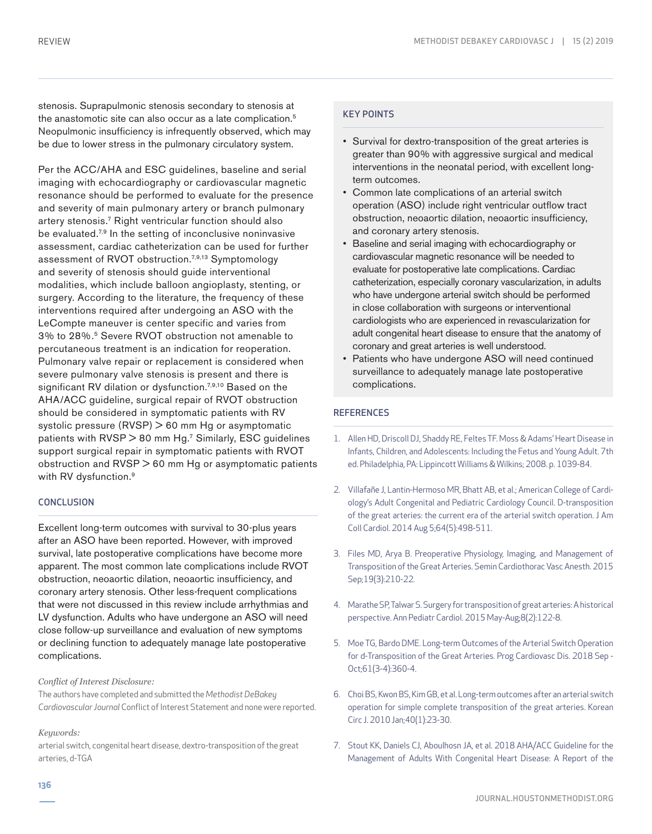stenosis. Suprapulmonic stenosis secondary to stenosis at the anastomotic site can also occur as a late complication.<sup>5</sup> Neopulmonic insufficiency is infrequently observed, which may be due to lower stress in the pulmonary circulatory system.

Per the ACC/AHA and ESC guidelines, baseline and serial imaging with echocardiography or cardiovascular magnetic resonance should be performed to evaluate for the presence and severity of main pulmonary artery or branch pulmonary artery stenosis.7 Right ventricular function should also be evaluated.<sup>7,9</sup> In the setting of inconclusive noninvasive assessment, cardiac catheterization can be used for further assessment of RVOT obstruction.7,9,13 Symptomology and severity of stenosis should guide interventional modalities, which include balloon angioplasty, stenting, or surgery. According to the literature, the frequency of these interventions required after undergoing an ASO with the LeCompte maneuver is center specific and varies from 3% to 28%.5 Severe RVOT obstruction not amenable to percutaneous treatment is an indication for reoperation. Pulmonary valve repair or replacement is considered when severe pulmonary valve stenosis is present and there is significant RV dilation or dysfunction.<sup>7,9,10</sup> Based on the AHA/ACC guideline, surgical repair of RVOT obstruction should be considered in symptomatic patients with RV systolic pressure (RVSP) > 60 mm Hg or asymptomatic patients with RVSP > 80 mm Hg.<sup>7</sup> Similarly, ESC guidelines support surgical repair in symptomatic patients with RVOT obstruction and RVSP > 60 mm Hg or asymptomatic patients with RV dysfunction.<sup>9</sup>

#### **CONCLUSION**

Excellent long-term outcomes with survival to 30-plus years after an ASO have been reported. However, with improved survival, late postoperative complications have become more apparent. The most common late complications include RVOT obstruction, neoaortic dilation, neoaortic insufficiency, and coronary artery stenosis. Other less-frequent complications that were not discussed in this review include arrhythmias and LV dysfunction. Adults who have undergone an ASO will need close follow-up surveillance and evaluation of new symptoms or declining function to adequately manage late postoperative complications.

#### *Conflict of Interest Disclosure:*

The authors have completed and submitted the *Methodist DeBakey Cardiovascular Journal* Conflict of Interest Statement and none were reported.

#### *Keywords:*

arterial switch, congenital heart disease, dextro-transposition of the great arteries, d-TGA

### KEY POINTS

- Survival for dextro-transposition of the great arteries is greater than 90% with aggressive surgical and medical interventions in the neonatal period, with excellent longterm outcomes.
- Common late complications of an arterial switch operation (ASO) include right ventricular outflow tract obstruction, neoaortic dilation, neoaortic insufficiency, and coronary artery stenosis.
- Baseline and serial imaging with echocardiography or cardiovascular magnetic resonance will be needed to evaluate for postoperative late complications. Cardiac catheterization, especially coronary vascularization, in adults who have undergone arterial switch should be performed in close collaboration with surgeons or interventional cardiologists who are experienced in revascularization for adult congenital heart disease to ensure that the anatomy of coronary and great arteries is well understood.
- Patients who have undergone ASO will need continued surveillance to adequately manage late postoperative complications.

# **REFERENCES**

- 1. Allen HD, Driscoll DJ, Shaddy RE, Feltes TF. Moss & Adams' Heart Disease in Infants, Children, and Adolescents: Including the Fetus and Young Adult. 7th ed. Philadelphia, PA: Lippincott Williams & Wilkins; 2008. p. 1039-84.
- 2. Villafañe J, Lantin-Hermoso MR, Bhatt AB, et al.; American College of Cardiology's Adult Congenital and Pediatric Cardiology Council. D-transposition of the great arteries: the current era of the arterial switch operation. J Am Coll Cardiol. 2014 Aug 5;64(5):498-511.
- 3. Files MD, Arya B. Preoperative Physiology, Imaging, and Management of Transposition of the Great Arteries. Semin Cardiothorac Vasc Anesth. 2015 Sep;19(3):210-22.
- 4. Marathe SP, Talwar S. Surgery for transposition of great arteries: A historical perspective. Ann Pediatr Cardiol. 2015 May-Aug;8(2):122-8.
- 5. Moe TG, Bardo DME. Long-term Outcomes of the Arterial Switch Operation for d-Transposition of the Great Arteries. Prog Cardiovasc Dis. 2018 Sep - Oct;61(3-4):360-4.
- 6. Choi BS, Kwon BS, Kim GB, et al. Long-term outcomes after an arterial switch operation for simple complete transposition of the great arteries. Korean Circ J. 2010 Jan;40(1):23-30.
- 7. Stout KK, Daniels CJ, Aboulhosn JA, et al. 2018 AHA/ACC Guideline for the Management of Adults With Congenital Heart Disease: A Report of the